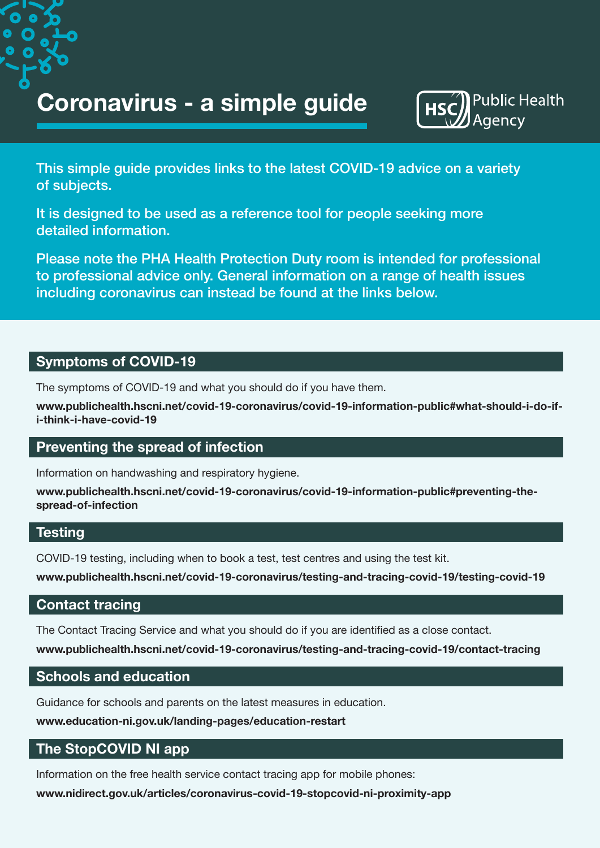**Coronavirus - a simple guide**



This simple guide provides links to the latest COVID-19 advice on a variety of subjects.

It is designed to be used as a reference tool for people seeking more detailed information.

Please note the PHA Health Protection Duty room is intended for professional to professional advice only. General information on a range of health issues including coronavirus can instead be found at the links below.

## **Symptoms of COVID-19**

The symptoms of COVID-19 and what you should do if you have them.

**[www.publichealth.hscni.net/covid-19-coronavirus/covid-19-information-public#what-should-i-do-if](http://www.publichealth.hscni.net/covid-19-coronavirus/covid-19-information-public#what-should-i-do-if-i-think-i-have-covid-19)[i-think-i-have-covid-19](http://www.publichealth.hscni.net/covid-19-coronavirus/covid-19-information-public#what-should-i-do-if-i-think-i-have-covid-19)**

## **Preventing the spread of infection**

Information on handwashing and respiratory hygiene.

**[www.publichealth.hscni.net/covid-19-coronavirus/covid-19-information-public#preventing-the](http://www.publichealth.hscni.net/covid-19-coronavirus/covid-19-information-public#preventing-the-spread-of-infection)[spread-of-infection](http://www.publichealth.hscni.net/covid-19-coronavirus/covid-19-information-public#preventing-the-spread-of-infection)**

### **Testing**

COVID-19 testing, including when to book a test, test centres and using the test kit.

**[www.publichealth.hscni.net/covid-19-coronavirus/testing-and-tracing-covid-19/testing-covid-19](http://www.publichealth.hscni.net/covid-19-coronavirus/testing-and-tracing-covid-19/testing-covid-19)**

### **Contact tracing**

The Contact Tracing Service and what you should do if you are identified as a close contact.

**[www.publichealth.hscni.net/covid-19-coronavirus/testing-and-tracing-covid-19/contact-tracing](http://www.publichealth.hscni.net/covid-19-coronavirus/testing-and-tracing-covid-19/contact-tracing)**

### **Schools and education**

Guidance for schools and parents on the latest measures in education.

**[www.education-ni.gov.uk/landing-pages/education-restart](http://www.education-ni.gov.uk/landing-pages/education-restart)**

## **The StopCOVID NI app**

Information on the free health service contact tracing app for mobile phones:

**[www.nidirect.gov.uk/articles/coronavirus-covid-19-stopcovid-ni-proximity-app](http://www.nidirect.gov.uk/articles/coronavirus-covid-19-stopcovid-ni-proximity-app)**